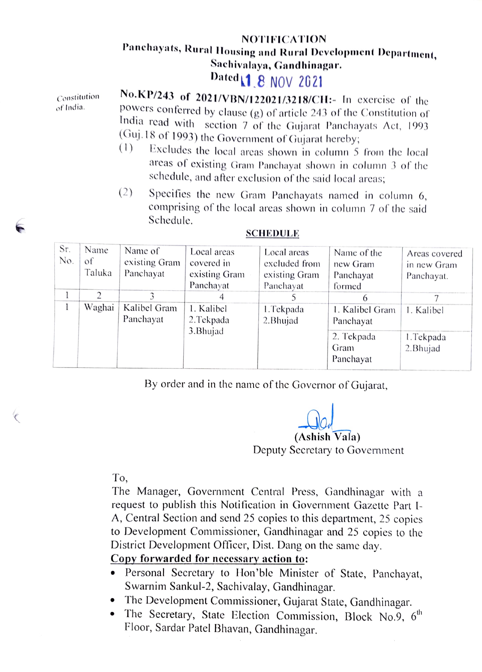## NOTIFICATION<br>Panchayats, Rural Housing and Rural Development Department,

Sachivalaya, Gandhinagar.<br>Dated 1 8 NOV 2021<br>Constitution No.KP/243 of 2021/VBN/122021/3218/CH:- In exercise of the<br>powers conferred by clause (g) of article 243 of the Constitution of India read with section 7 of the Gujarat Panchayats Act, 1993 (Guj.18 of 1993) the Government of Gujarat hereby;<br>(1) Excludes the local areas shown in column 5 from the local

- arcas of existing Gram Panchayat shown in column 3 of the schedule, and after exclusion of the said local arcas;
- $(2)$  Specifies the new Gram Panchayats named in column 6, comprising of the local arcas shown in column 7 of the said Schedule.

| Sr.<br>No. | Name<br>оf<br>Taluka | Name of<br>existing Gram<br>Panchayat | Local areas<br>covered in<br>existing Gram<br>Panchayat | Local areas<br>excluded from<br>existing Gram<br>Panchayat | Name of the<br>new Gram<br>Panchayat<br>formed | Areas covered<br>in new Gram<br>Panchayat. |
|------------|----------------------|---------------------------------------|---------------------------------------------------------|------------------------------------------------------------|------------------------------------------------|--------------------------------------------|
|            |                      |                                       |                                                         |                                                            | 6                                              |                                            |
|            | Waghai               | Kalibel Gram<br>Panchayat             | 1. Kalibel<br>2. Tekpada                                | 1. Tekpada<br>2. Bhujad                                    | 1. Kalibel Gram<br>Panchayat                   | 1. Kalibel                                 |
|            |                      |                                       | 3. Bhujad                                               |                                                            | 2. Tekpada<br>Gram<br>Panchayat                | 1. Tekpada<br>2. Bhujad                    |

## SCHEDULE

By order and in the name of the Governor of Gujarat,

(Ashish Vala)

Deputy Secretary to Government

To,

The Manager, Government Central Press, Gandhinagar with a request to publish this Notification in Government Gazette Part I-A, Central Section and send 25 copies to this department, 25 copies to Development Commissioner, Gandhinagar and 25 copies to the District Development Officer, Dist. Dang on the same day.

## Copy forwarded for necessaryaction to:

- Personal Secretary to Hon'ble Minister of State, Panchayat, Swarnim Sankul-2, Sachivalay, Gandhinagar.
- 
- The Development Commissioner, Gujarat State, Gandhinagar.<br>• The Secretary, State Election Commission, Block No.9, 6<sup>th</sup> Floor, Sardar Patel Bhavan, Gandhinagar.